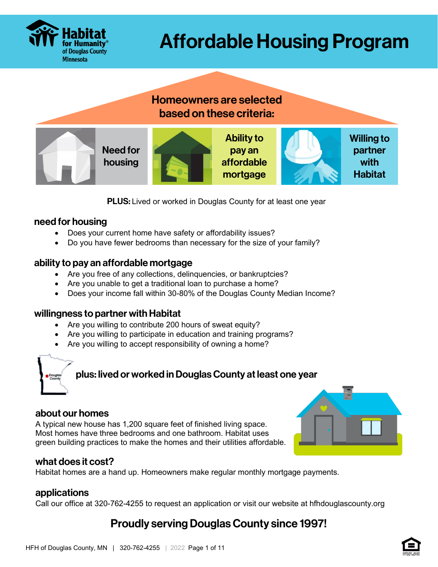

# Affordable Housing Program

# Homeowners are selected based on these criteria:



**PLUS:** Lived or worked in Douglas County for at least one year

### need for housing

- Does your current home have safety or affordability issues?
- Do you have fewer bedrooms than necessary for the size of your family?

## ability to pay an affordable mortgage

- Are you free of any collections, delinquencies, or bankruptcies?
- Are you unable to get a traditional loan to purchase a home?
- Does your income fall within 30-80% of the Douglas County Median Income?

## willingness to partner with Habitat

- Are you willing to contribute 200 hours of sweat equity?
- Are you willing to participate in education and training programs?
- Are you willing to accept responsibility of owning a home?

# plus: lived or worked in Douglas County at least one year

#### about our homes

A typical new house has 1,200 square feet of finished living space. Most homes have three bedrooms and one bathroom. Habitat uses green building practices to make the homes and their utilities affordable.



## what does it cost?

Habitat homes are a hand up. Homeowners make regular monthly mortgage payments.

#### applications

Call our office at 320-762-4255 to request an application or visit our website at hfhdouglascounty.org

# Proudly serving Douglas County since 1997!

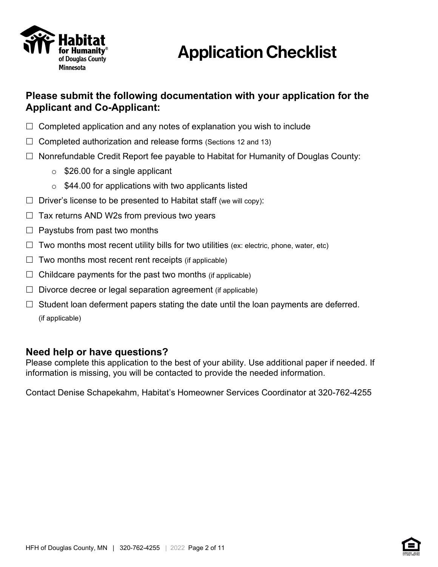

# Application Checklist

## **Please submit the following documentation with your application for the Applicant and Co-Applicant:**

- $\Box$  Completed application and any notes of explanation you wish to include
- $\Box$  Completed authorization and release forms (Sections 12 and 13)
- $\Box$  Nonrefundable Credit Report fee payable to Habitat for Humanity of Douglas County:
	- $\circ$  \$26.00 for a single applicant
	- $\circ$  \$44.00 for applications with two applicants listed
- $\Box$  Driver's license to be presented to Habitat staff (we will copy):
- $\Box$  Tax returns AND W2s from previous two years
- $\Box$  Paystubs from past two months
- $\Box$  Two months most recent utility bills for two utilities (ex: electric, phone, water, etc)
- $\Box$  Two months most recent rent receipts (if applicable)
- $\Box$  Childcare payments for the past two months (if applicable)
- $\Box$  Divorce decree or legal separation agreement (if applicable)
- $\Box$  Student loan deferment papers stating the date until the loan payments are deferred. (if applicable)

## **Need help or have questions?**

Please complete this application to the best of your ability. Use additional paper if needed. If information is missing, you will be contacted to provide the needed information.

Contact Denise Schapekahm, Habitat's Homeowner Services Coordinator at 320-762-4255

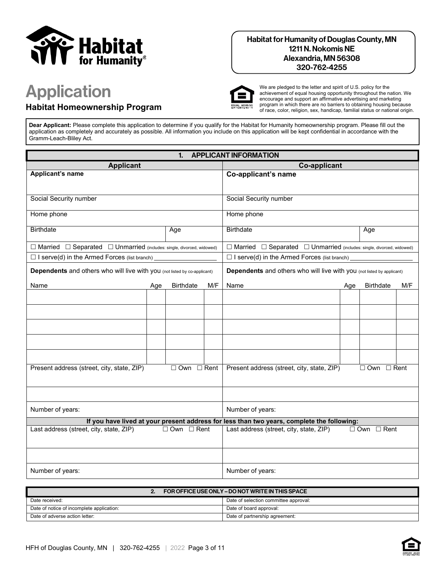

#### Habitat for Humanity of Douglas County, MN 1211 N. Nokomis NE Alexandria, MN 56308 320-762-4255

# Application

### **Habitat Homeownership Program**



We are pledged to the letter and spirit of U.S. policy for the achievement of equal housing opportunity throughout the nation. We encourage and support an affirmative advertising and marketing program in which there are no barriers to obtaining housing because of race, color, religion, sex, handicap, familial status or national origin.

**Dear Applicant:** Please complete this application to determine if you qualify for the Habitat for Humanity homeownership program. Please fill out the application as completely and accurately as possible. All information you include on this application will be kept confidential in accordance with the Gramm-Leach-Bliley Act.

| <b>APPLICANT INFORMATION</b><br>1.                                                     |     |                                         |                  |                                                                                            |     |                        |     |
|----------------------------------------------------------------------------------------|-----|-----------------------------------------|------------------|--------------------------------------------------------------------------------------------|-----|------------------------|-----|
| <b>Applicant</b>                                                                       |     |                                         |                  | <b>Co-applicant</b>                                                                        |     |                        |     |
| Applicant's name                                                                       |     | Co-applicant's name                     |                  |                                                                                            |     |                        |     |
|                                                                                        |     |                                         |                  |                                                                                            |     |                        |     |
| Social Security number                                                                 |     |                                         |                  | Social Security number                                                                     |     |                        |     |
| Home phone                                                                             |     |                                         |                  | Home phone                                                                                 |     |                        |     |
|                                                                                        |     |                                         |                  |                                                                                            |     |                        |     |
| <b>Birthdate</b>                                                                       |     | Age                                     |                  | <b>Birthdate</b>                                                                           |     | Age                    |     |
| $\Box$ Married $\Box$ Separated $\Box$ Unmarried (includes: single, divorced, widowed) |     |                                         |                  | $\Box$ Married $\Box$ Separated $\Box$ Unmarried (includes: single, divorced, widowed)     |     |                        |     |
| $\Box$ I serve(d) in the Armed Forces (list branch)                                    |     |                                         |                  | $\Box$ I serve(d) in the Armed Forces (list branch)                                        |     |                        |     |
| Dependents and others who will live with you (not listed by co-applicant)              |     |                                         |                  | Dependents and others who will live with you (not listed by applicant)                     |     |                        |     |
| Name                                                                                   | Age | <b>Birthdate</b>                        | M/F              | Name                                                                                       | Age | <b>Birthdate</b>       | M/F |
|                                                                                        |     |                                         |                  |                                                                                            |     |                        |     |
|                                                                                        |     |                                         |                  |                                                                                            |     |                        |     |
|                                                                                        |     |                                         |                  |                                                                                            |     |                        |     |
|                                                                                        |     |                                         |                  |                                                                                            |     |                        |     |
|                                                                                        |     |                                         |                  |                                                                                            |     |                        |     |
|                                                                                        |     |                                         |                  |                                                                                            |     |                        |     |
|                                                                                        |     |                                         |                  |                                                                                            |     |                        |     |
| Present address (street, city, state, ZIP)                                             |     | $\Box$ Own $\Box$ Rent                  |                  | Present address (street, city, state, ZIP)                                                 |     | $\Box$ Own $\Box$ Rent |     |
|                                                                                        |     |                                         |                  |                                                                                            |     |                        |     |
|                                                                                        |     |                                         |                  |                                                                                            |     |                        |     |
|                                                                                        |     |                                         |                  |                                                                                            |     |                        |     |
| Number of years:                                                                       |     |                                         | Number of years: |                                                                                            |     |                        |     |
|                                                                                        |     |                                         |                  | If you have lived at your present address for less than two years, complete the following: |     |                        |     |
| Last address (street, city, state, ZIP)<br>$\Box$ Own $\Box$ Rent                      |     | Last address (street, city, state, ZIP) |                  | $\Box$ Own $\Box$ Rent                                                                     |     |                        |     |
|                                                                                        |     |                                         |                  |                                                                                            |     |                        |     |
|                                                                                        |     |                                         |                  |                                                                                            |     |                        |     |
| Number of years:                                                                       |     |                                         | Number of years: |                                                                                            |     |                        |     |

|                                           | FOR OFFICE USE ONLY - DO NOT WRITE IN THIS SPACE |                                       |
|-------------------------------------------|--------------------------------------------------|---------------------------------------|
| Date received:                            |                                                  | Date of selection committee approval: |
| Date of notice of incomplete application: |                                                  | Date of board approval:               |
| Date of adverse action letter:            |                                                  | Date of partnership agreement:        |

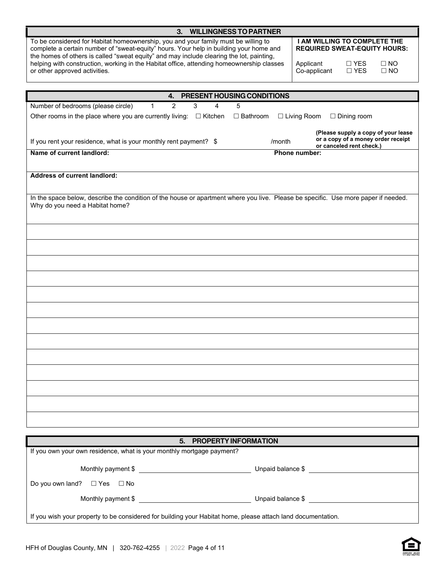| <b>WILLINGNESS TO PARTNER</b><br>3.                                                                                                                                                                                                                                                                                                                                   |        |                                                                                                                       |  |  |  |
|-----------------------------------------------------------------------------------------------------------------------------------------------------------------------------------------------------------------------------------------------------------------------------------------------------------------------------------------------------------------------|--------|-----------------------------------------------------------------------------------------------------------------------|--|--|--|
| To be considered for Habitat homeownership, you and your family must be willing to<br>complete a certain number of "sweat-equity" hours. Your help in building your home and<br>the homes of others is called "sweat equity" and may include clearing the lot, painting,<br>helping with construction, working in the Habitat office, attending homeownership classes |        | <b>I AM WILLING TO COMPLETE THE</b><br><b>REQUIRED SWEAT-EQUITY HOURS:</b><br>Applicant<br>$\Box$ YES<br>$\square$ NO |  |  |  |
| or other approved activities.                                                                                                                                                                                                                                                                                                                                         |        | $\square$ YES<br>Co-applicant<br>$\square$ NO                                                                         |  |  |  |
|                                                                                                                                                                                                                                                                                                                                                                       |        |                                                                                                                       |  |  |  |
| 4. PRESENT HOUSING CONDITIONS<br>$\overline{2}$<br>Number of bedrooms (please circle)<br>3<br>$\mathbf{1}$<br>4<br>5                                                                                                                                                                                                                                                  |        |                                                                                                                       |  |  |  |
| Other rooms in the place where you are currently living: $\Box$ Kitchen<br>□ Bathroom                                                                                                                                                                                                                                                                                 |        | $\Box$ Living Room<br>$\Box$ Dining room                                                                              |  |  |  |
| If you rent your residence, what is your monthly rent payment? \$                                                                                                                                                                                                                                                                                                     | /month | (Please supply a copy of your lease<br>or a copy of a money order receipt<br>or canceled rent check.)                 |  |  |  |
| Name of current landlord:                                                                                                                                                                                                                                                                                                                                             |        | Phone number:                                                                                                         |  |  |  |
|                                                                                                                                                                                                                                                                                                                                                                       |        |                                                                                                                       |  |  |  |
| <b>Address of current landlord:</b>                                                                                                                                                                                                                                                                                                                                   |        |                                                                                                                       |  |  |  |
| In the space below, describe the condition of the house or apartment where you live. Please be specific. Use more paper if needed.<br>Why do you need a Habitat home?                                                                                                                                                                                                 |        |                                                                                                                       |  |  |  |
|                                                                                                                                                                                                                                                                                                                                                                       |        |                                                                                                                       |  |  |  |
|                                                                                                                                                                                                                                                                                                                                                                       |        |                                                                                                                       |  |  |  |
|                                                                                                                                                                                                                                                                                                                                                                       |        |                                                                                                                       |  |  |  |
|                                                                                                                                                                                                                                                                                                                                                                       |        |                                                                                                                       |  |  |  |
|                                                                                                                                                                                                                                                                                                                                                                       |        |                                                                                                                       |  |  |  |
|                                                                                                                                                                                                                                                                                                                                                                       |        |                                                                                                                       |  |  |  |
|                                                                                                                                                                                                                                                                                                                                                                       |        |                                                                                                                       |  |  |  |
|                                                                                                                                                                                                                                                                                                                                                                       |        |                                                                                                                       |  |  |  |
|                                                                                                                                                                                                                                                                                                                                                                       |        |                                                                                                                       |  |  |  |
|                                                                                                                                                                                                                                                                                                                                                                       |        |                                                                                                                       |  |  |  |
|                                                                                                                                                                                                                                                                                                                                                                       |        |                                                                                                                       |  |  |  |
|                                                                                                                                                                                                                                                                                                                                                                       |        |                                                                                                                       |  |  |  |
|                                                                                                                                                                                                                                                                                                                                                                       |        |                                                                                                                       |  |  |  |
| 5. PROPERTY INFORMATION                                                                                                                                                                                                                                                                                                                                               |        |                                                                                                                       |  |  |  |
| If you own your own residence, what is your monthly mortgage payment?                                                                                                                                                                                                                                                                                                 |        |                                                                                                                       |  |  |  |
|                                                                                                                                                                                                                                                                                                                                                                       |        |                                                                                                                       |  |  |  |
| Do you own land? □ Yes □ No                                                                                                                                                                                                                                                                                                                                           |        |                                                                                                                       |  |  |  |
|                                                                                                                                                                                                                                                                                                                                                                       |        |                                                                                                                       |  |  |  |

If you wish your property to be considered for building your Habitat home, please attach land documentation.

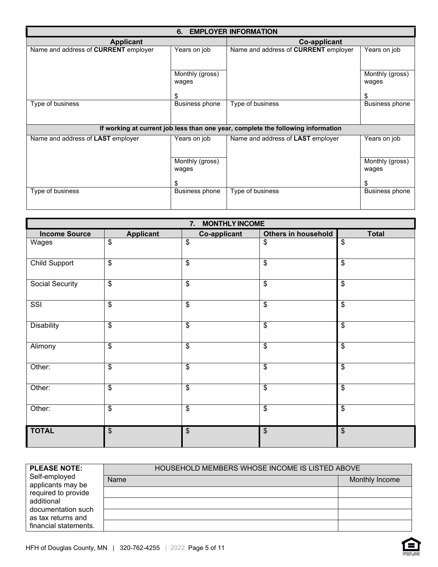| 6. EMPLOYER INFORMATION                     |                          |                                                                                  |                          |  |
|---------------------------------------------|--------------------------|----------------------------------------------------------------------------------|--------------------------|--|
| <b>Applicant</b>                            |                          | <b>Co-applicant</b>                                                              |                          |  |
| Name and address of <b>CURRENT</b> employer | Years on job             | Name and address of <b>CURRENT</b> employer                                      | Years on job             |  |
|                                             |                          |                                                                                  |                          |  |
|                                             | Monthly (gross)<br>wages |                                                                                  | Monthly (gross)<br>wages |  |
|                                             | \$                       |                                                                                  | \$                       |  |
| Type of business                            | Business phone           | Type of business                                                                 | <b>Business phone</b>    |  |
|                                             |                          |                                                                                  |                          |  |
|                                             |                          | If working at current job less than one year, complete the following information |                          |  |
| Name and address of LAST employer           | Years on job             | Name and address of LAST employer                                                | Years on job             |  |
|                                             | Monthly (gross)<br>wages |                                                                                  | Monthly (gross)<br>wages |  |
|                                             |                          |                                                                                  | \$.                      |  |
| Type of business                            | Business phone           | Type of business                                                                 | <b>Business phone</b>    |  |

|                      | 7. MONTHLY INCOME       |              |                                           |                          |  |
|----------------------|-------------------------|--------------|-------------------------------------------|--------------------------|--|
| <b>Income Source</b> | <b>Applicant</b>        | Co-applicant | Others in household                       | <b>Total</b>             |  |
| Wages                | \$                      | \$           | \$                                        | $\overline{\mathcal{S}}$ |  |
| Child Support        | $\overline{\mathbf{e}}$ | \$           | \$                                        | $\mathfrak{S}$           |  |
| Social Security      | $\overline{\mathbf{e}}$ | \$           | \$                                        | \$                       |  |
| SSI                  | $\overline{\mathbf{e}}$ | \$           | $\overline{\mathbf{e}}$                   | $\overline{\mathcal{S}}$ |  |
| <b>Disability</b>    | $\overline{\$}$         | \$           | $\overline{\$}$                           | $\overline{\mathcal{S}}$ |  |
| Alimony              | $\overline{\mathbf{e}}$ | \$           | $\overline{\mathcal{S}}$                  | $\overline{\mathcal{S}}$ |  |
| Other:               | \$                      | \$           | \$                                        | $\mathfrak{S}$           |  |
| Other:               | \$                      | \$           | $\overline{\mathbf{S}}$                   | $\sqrt[6]{\frac{1}{2}}$  |  |
| Other:               | \$                      | \$           | \$                                        | \$                       |  |
| <b>TOTAL</b>         | $\frac{1}{2}$           | \$           | $\, \, \raisebox{12pt}{$\scriptstyle \$}$ | $\frac{1}{2}$            |  |

| <b>PLEASE NOTE:</b>                                               | HOUSEHOLD MEMBERS WHOSE INCOME IS LISTED ABOVE |                |
|-------------------------------------------------------------------|------------------------------------------------|----------------|
| Self-employed<br>applicants may be                                | <b>Name</b>                                    | Monthly Income |
| required to provide                                               |                                                |                |
| additional                                                        |                                                |                |
| documentation such<br>as tax returns and<br>financial statements. |                                                |                |
|                                                                   |                                                |                |

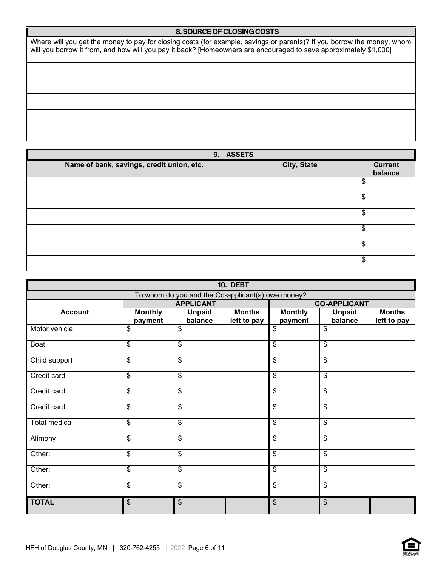#### 8. SOURCE OF CLOSING COSTS

Where will you get the money to pay for closing costs (for example, savings or parents)? If you borrow the money, whom will you borrow it from, and how will you pay it back? [Homeowners are encouraged to save approximately \$1,000]

| 9. ASSETS                                 |             |                           |  |  |
|-------------------------------------------|-------------|---------------------------|--|--|
| Name of bank, savings, credit union, etc. | City, State | <b>Current</b><br>balance |  |  |
|                                           |             | \$                        |  |  |
|                                           |             | \$                        |  |  |
|                                           |             | \$                        |  |  |
|                                           |             | \$                        |  |  |
|                                           |             | \$                        |  |  |
|                                           |             | \$                        |  |  |

| <b>10. DEBT</b>      |                           |                                                   |                              |                           |                          |                              |
|----------------------|---------------------------|---------------------------------------------------|------------------------------|---------------------------|--------------------------|------------------------------|
|                      |                           | To whom do you and the Co-applicant(s) owe money? |                              |                           |                          |                              |
|                      |                           | <b>APPLICANT</b>                                  |                              | <b>CO-APPLICANT</b>       |                          |                              |
| <b>Account</b>       | <b>Monthly</b><br>payment | <b>Unpaid</b><br>balance                          | <b>Months</b><br>left to pay | <b>Monthly</b><br>payment | <b>Unpaid</b><br>balance | <b>Months</b><br>left to pay |
| Motor vehicle        | $\overline{\mathbf{e}}$   | \$                                                |                              | $\overline{\mathcal{S}}$  | \$                       |                              |
| Boat                 | \$                        | \$                                                |                              | \$                        | $\overline{\mathcal{S}}$ |                              |
| Child support        | \$                        | \$                                                |                              | $\overline{\$}$           | \$                       |                              |
| Credit card          | \$                        | \$                                                |                              | \$                        | \$                       |                              |
| Credit card          | \$                        | \$                                                |                              | $\boldsymbol{\mathsf{S}}$ | \$                       |                              |
| Credit card          | \$                        | \$                                                |                              | \$                        | \$                       |                              |
| <b>Total medical</b> | $\overline{\mathcal{S}}$  | \$                                                |                              | $\overline{\mathcal{S}}$  | \$                       |                              |
| Alimony              | \$                        | \$                                                |                              | \$                        | \$                       |                              |
| Other:               | \$                        | \$                                                |                              | $\boldsymbol{\mathsf{S}}$ | \$                       |                              |
| Other:               | \$                        | \$                                                |                              | \$                        | \$                       |                              |
| Other:               | \$                        | \$                                                |                              | $\boldsymbol{\mathsf{S}}$ | \$                       |                              |
| <b>TOTAL</b>         | \$                        | \$                                                |                              | $\boldsymbol{\mathsf{S}}$ | \$                       |                              |

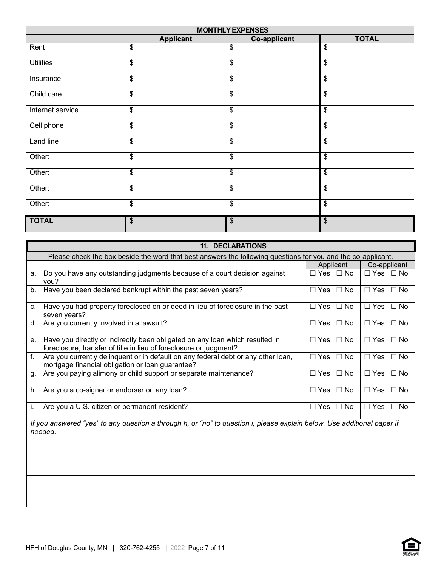| <b>MONTHLY EXPENSES</b> |                           |                          |                           |  |
|-------------------------|---------------------------|--------------------------|---------------------------|--|
|                         | <b>Applicant</b>          | <b>Co-applicant</b>      | <b>TOTAL</b>              |  |
| Rent                    | $\boldsymbol{\mathsf{S}}$ | \$                       | $\$\$                     |  |
| <b>Utilities</b>        | \$                        | \$                       | $\$\$                     |  |
| Insurance               | $\$\$                     | $\$\$                    | $\boldsymbol{\mathsf{S}}$ |  |
| Child care              | $\overline{\mathcal{S}}$  | \$                       | $\overline{\$}$           |  |
| Internet service        | $\$\$                     | $\$\$                    | $\mathbb{S}$              |  |
| Cell phone              | $\overline{\mathbf{s}}$   | $\overline{\mathcal{S}}$ | $\overline{\mathcal{S}}$  |  |
| Land line               | $\$\$                     | \$                       | $\$\$                     |  |
| Other:                  | $\$\$                     | $\$\$                    | $\boldsymbol{\mathsf{S}}$ |  |
| Other:                  | $\$\$                     | $\$\$                    | $\$\$                     |  |
| Other:                  | \$                        | \$                       | $\$\$                     |  |
| Other:                  | $\boldsymbol{\mathsf{S}}$ | \$                       | \$                        |  |
| <b>TOTAL</b>            | $\boldsymbol{\mathsf{S}}$ | \$                       | \$                        |  |

| <b>11. DECLARATIONS</b>                                                                                                                                  |                      |                      |  |  |
|----------------------------------------------------------------------------------------------------------------------------------------------------------|----------------------|----------------------|--|--|
| Please check the box beside the word that best answers the following questions for you and the co-applicant.                                             |                      |                      |  |  |
|                                                                                                                                                          | Applicant            | Co-applicant         |  |  |
| a. Do you have any outstanding judgments because of a court decision against<br>you?                                                                     | $\Box$ Yes $\Box$ No | $\Box$ Yes $\Box$ No |  |  |
| Have you been declared bankrupt within the past seven years?<br>b.                                                                                       | $\Box$ Yes $\Box$ No | $\Box$ Yes $\Box$ No |  |  |
| Have you had property foreclosed on or deed in lieu of foreclosure in the past<br>C.<br>seven years?                                                     | $\Box$ Yes $\Box$ No | $\Box$ Yes $\Box$ No |  |  |
| Are you currently involved in a lawsuit?<br>d.                                                                                                           | $\Box$ Yes $\Box$ No | $\Box$ Yes $\Box$ No |  |  |
| Have you directly or indirectly been obligated on any loan which resulted in<br>е.<br>foreclosure, transfer of title in lieu of foreclosure or judgment? | $\Box$ Yes $\Box$ No | $\Box$ Yes $\Box$ No |  |  |
| f.<br>Are you currently delinquent or in default on any federal debt or any other loan,<br>mortgage financial obligation or loan guarantee?              | $\Box$ Yes $\Box$ No | $\Box$ Yes $\Box$ No |  |  |
| Are you paying alimony or child support or separate maintenance?<br>g.                                                                                   | $\Box$ Yes $\Box$ No | $\Box$ Yes $\Box$ No |  |  |
| Are you a co-signer or endorser on any loan?<br>h.                                                                                                       | $\Box$ Yes $\Box$ No | $\Box$ Yes $\Box$ No |  |  |
| Are you a U.S. citizen or permanent resident?<br>i.                                                                                                      | $\Box$ Yes $\Box$ No | $\Box$ Yes $\Box$ No |  |  |
| If you answered "yes" to any question a through h, or "no" to question i, please explain below. Use additional paper if<br>needed.                       |                      |                      |  |  |
|                                                                                                                                                          |                      |                      |  |  |
|                                                                                                                                                          |                      |                      |  |  |
|                                                                                                                                                          |                      |                      |  |  |
|                                                                                                                                                          |                      |                      |  |  |

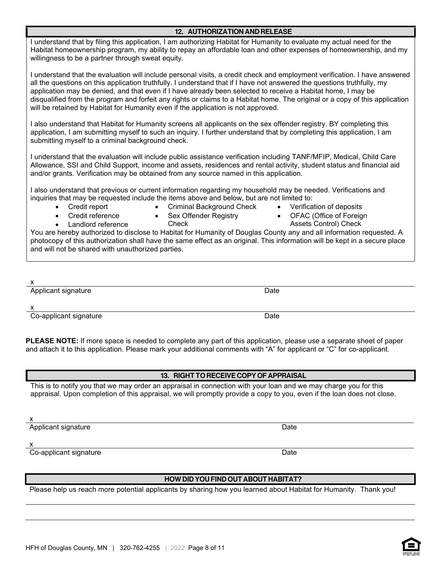HFH of Douglas County, MN | 320-762-4255 | 2022 Page 8 of 11

#### 12. AUTHORIZATION AND RELEASE

I understand that by filing this application, I am authorizing Habitat for Humanity to evaluate my actual need for the Habitat homeownership program, my ability to repay an affordable loan and other expenses of homeownership, and my willingness to be a partner through sweat equity.

I understand that the evaluation will include personal visits, a credit check and employment verification. I have answered all the questions on this application truthfully. I understand that if I have not answered the questions truthfully, my application may be denied, and that even if I have already been selected to receive a Habitat home, I may be disqualified from the program and forfeit any rights or claims to a Habitat home. The original or a copy of this application will be retained by Habitat for Humanity even if the application is not approved.

I also understand that Habitat for Humanity screens all applicants on the sex offender registry. BY completing this application, I am submitting myself to such an inquiry. I further understand that by completing this application, I am submitting myself to a criminal background check.

I understand that the evaluation will include public assistance verification including TANF/MFIP, Medical, Child Care Allowance, SSI and Child Support, income and assets, residences and rental activity, student status and financial aid and/or grants. Verification may be obtained from any source named in this application.

I also understand that previous or current information regarding my household may be needed. Verifications and inquiries that may be requested include the items above and below, but are not limited to:

- Credit report
- Criminal Background Check
- Verification of deposits

• Credit reference

• Landlord reference

- Sex Offender Registry **Check**
- OFAC (Office of Foreign Assets Control) Check

You are hereby authorized to disclose to Habitat for Humanity of Douglas County any and all information requested. A photocopy of this authorization shall have the same effect as an original. This information will be kept in a secure place and will not be shared with unauthorized parties.

| ł<br>I<br>֡֡֡֡֡֡֡֡֡ |  |
|---------------------|--|

Applicant signature **Date** Date of **Date** Date of **Date** Date of **Date** 

x

Co-applicant signature Date Date Co-applicant signature

**PLEASE NOTE:** If more space is needed to complete any part of this application, please use a separate sheet of paper and attach it to this application. Please mark your additional comments with "A" for applicant or "C" for co-applicant.

#### 13. RIGHT TO RECEIVE COPY OF APPRAISAL

This is to notify you that we may order an appraisal in connection with your loan and we may charge you for this appraisal. Upon completion of this appraisal, we will promptly provide a copy to you, even if the loan does not close.

x

Applicant signature Date Date of the Date of the Date Date Date Date Date Date Date

x

Co-applicant signature Date Co-applicant signature Date

#### HOW DID YOU FIND OUT ABOUT HABITAT?

Please help us reach more potential applicants by sharing how you learned about Habitat for Humanity. Thank you!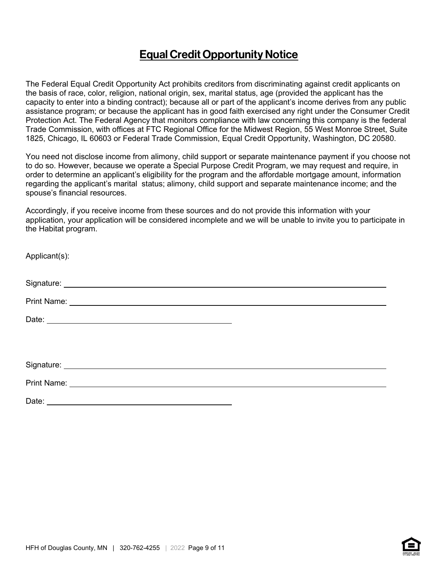## Equal Credit Opportunity Notice

The Federal Equal Credit Opportunity Act prohibits creditors from discriminating against credit applicants on the basis of race, color, religion, national origin, sex, marital status, age (provided the applicant has the capacity to enter into a binding contract); because all or part of the applicant's income derives from any public assistance program; or because the applicant has in good faith exercised any right under the Consumer Credit Protection Act. The Federal Agency that monitors compliance with law concerning this company is the federal Trade Commission, with offices at FTC Regional Office for the Midwest Region, 55 West Monroe Street, Suite 1825, Chicago, IL 60603 or Federal Trade Commission, Equal Credit Opportunity, Washington, DC 20580.

You need not disclose income from alimony, child support or separate maintenance payment if you choose not to do so. However, because we operate a Special Purpose Credit Program, we may request and require, in order to determine an applicant's eligibility for the program and the affordable mortgage amount, information regarding the applicant's marital status; alimony, child support and separate maintenance income; and the spouse's financial resources.

Accordingly, if you receive income from these sources and do not provide this information with your application, your application will be considered incomplete and we will be unable to invite you to participate in the Habitat program.

| Applicant(s): |  |
|---------------|--|
|               |  |
|               |  |
|               |  |
|               |  |
|               |  |
|               |  |
|               |  |
|               |  |



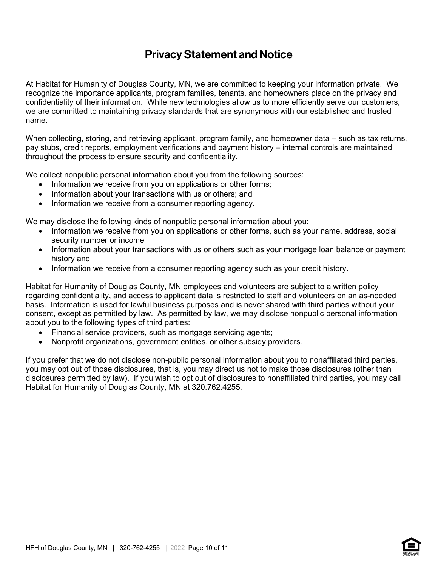## Privacy Statement and Notice

At Habitat for Humanity of Douglas County, MN, we are committed to keeping your information private. We recognize the importance applicants, program families, tenants, and homeowners place on the privacy and confidentiality of their information. While new technologies allow us to more efficiently serve our customers, we are committed to maintaining privacy standards that are synonymous with our established and trusted name.

When collecting, storing, and retrieving applicant, program family, and homeowner data – such as tax returns, pay stubs, credit reports, employment verifications and payment history – internal controls are maintained throughout the process to ensure security and confidentiality.

We collect nonpublic personal information about you from the following sources:

- Information we receive from you on applications or other forms;
- Information about your transactions with us or others; and
- Information we receive from a consumer reporting agency.

We may disclose the following kinds of nonpublic personal information about you:

- Information we receive from you on applications or other forms, such as your name, address, social security number or income
- Information about your transactions with us or others such as your mortgage loan balance or payment history and
- Information we receive from a consumer reporting agency such as your credit history.

Habitat for Humanity of Douglas County, MN employees and volunteers are subject to a written policy regarding confidentiality, and access to applicant data is restricted to staff and volunteers on an as-needed basis. Information is used for lawful business purposes and is never shared with third parties without your consent, except as permitted by law. As permitted by law, we may disclose nonpublic personal information about you to the following types of third parties:

- Financial service providers, such as mortgage servicing agents;
- Nonprofit organizations, government entities, or other subsidy providers.

If you prefer that we do not disclose non-public personal information about you to nonaffiliated third parties, you may opt out of those disclosures, that is, you may direct us not to make those disclosures (other than disclosures permitted by law). If you wish to opt out of disclosures to nonaffiliated third parties, you may call Habitat for Humanity of Douglas County, MN at 320.762.4255.